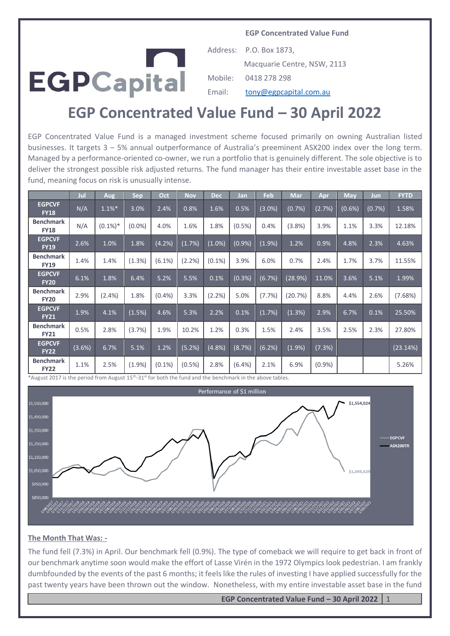**EGP Concentrated Value Fund**



Address: P.O. Box 1873, Macquarie Centre, NSW, 2113 Mobile: 0418 278 298 Email: [tony@egpcapital.com.au](mailto:tony@egpcapital.com.au)

# **EGP Concentrated Value Fund – 30 April 2022**

EGP Concentrated Value Fund is a managed investment scheme focused primarily on owning Australian listed businesses. It targets 3 – 5% annual outperformance of Australia's preeminent ASX200 index over the long term. Managed by a performance-oriented co-owner, we run a portfolio that is genuinely different. The sole objective is to deliver the strongest possible risk adjusted returns. The fund manager has their entire investable asset base in the fund, meaning focus on risk is unusually intense.

|                                 | Jul    | Aug        | <b>Sep</b> | Oct       | <b>Nov</b> | <b>Dec</b> | Jan       | Feb       | <b>Mar</b> | Apr       | <b>May</b> | Jun    | <b>FYTD</b> |
|---------------------------------|--------|------------|------------|-----------|------------|------------|-----------|-----------|------------|-----------|------------|--------|-------------|
| <b>EGPCVF</b><br><b>FY18</b>    | N/A    | $1.1\%$ *  | 3.0%       | 2.4%      | 0.8%       | 1.6%       | 0.5%      | $(3.0\%)$ | (0.7%)     | (2.7%)    | (0.6%)     | (0.7%) | 1.58%       |
| <b>Benchmark</b><br><b>FY18</b> | N/A    | $(0.1\%)*$ | $(0.0\%)$  | 4.0%      | 1.6%       | 1.8%       | $(0.5\%)$ | 0.4%      | (3.8%)     | 3.9%      | 1.1%       | 3.3%   | 12.18%      |
| <b>EGPCVF</b><br><b>FY19</b>    | 2.6%   | 1.0%       | 1.8%       | (4.2%)    | (1.7%)     | $(1.0\%)$  | (0.9%     | (1.9%     | 1.2%       | 0.9%      | 4.8%       | 2.3%   | 4.63%       |
| <b>Benchmark</b><br><b>FY19</b> | 1.4%   | 1.4%       | (1.3%)     | (6.1%)    | (2.2%)     | $(0.1\%)$  | 3.9%      | 6.0%      | 0.7%       | 2.4%      | 1.7%       | 3.7%   | 11.55%      |
| <b>EGPCVF</b><br><b>FY20</b>    | 6.1%   | 1.8%       | 6.4%       | 5.2%      | 5.5%       | 0.1%       | (0.3%)    | (6.7%)    | (28.9%)    | 11.0%     | 3.6%       | 5.1%   | 1.99%       |
| <b>Benchmark</b><br><b>FY20</b> | 2.9%   | $(2.4\%)$  | 1.8%       | $(0.4\%)$ | 3.3%       | (2.2%)     | 5.0%      | (7.7%)    | (20.7%)    | 8.8%      | 4.4%       | 2.6%   | (7.68%)     |
| <b>EGPCVF</b><br><b>FY21</b>    | 1.9%   | 4.1%       | (1.5%)     | 4.6%      | 5.3%       | 2.2%       | 0.1%      | (1.7%)    | (1.3%)     | 2.9%      | 6.7%       | 0.1%   | 25.50%      |
| <b>Benchmark</b><br><b>FY21</b> | 0.5%   | 2.8%       | (3.7%)     | 1.9%      | 10.2%      | 1.2%       | 0.3%      | 1.5%      | 2.4%       | 3.5%      | 2.5%       | 2.3%   | 27.80%      |
| <b>EGPCVF</b><br><b>FY22</b>    | (3.6%) | 6.7%       | 5.1%       | 1.2%      | (5.2%)     | (4.8%)     | (8.7%)    | (6.2%)    | (1.9%      | (7.3%)    |            |        | (23.14%)    |
| <b>Benchmark</b><br><b>FY22</b> | 1.1%   | 2.5%       | (1.9%      | $(0.1\%)$ | $(0.5\%)$  | 2.8%       | $(6.4\%)$ | 2.1%      | 6.9%       | $(0.9\%)$ |            |        | 5.26%       |

\*August 2017 is the period from August 15th -31st for both the fund and the benchmark in the above tables.



#### **The Month That Was: -**

The fund fell (7.3%) in April. Our benchmark fell (0.9%). The type of comeback we will require to get back in front of our benchmark anytime soon would make the effort of Lasse Virén in the 1972 Olympics look pedestrian. I am frankly dumbfounded by the events of the past 6 months; it feels like the rules of investing I have applied successfully for the past twenty years have been thrown out the window. Nonetheless, with my entire investable asset base in the fund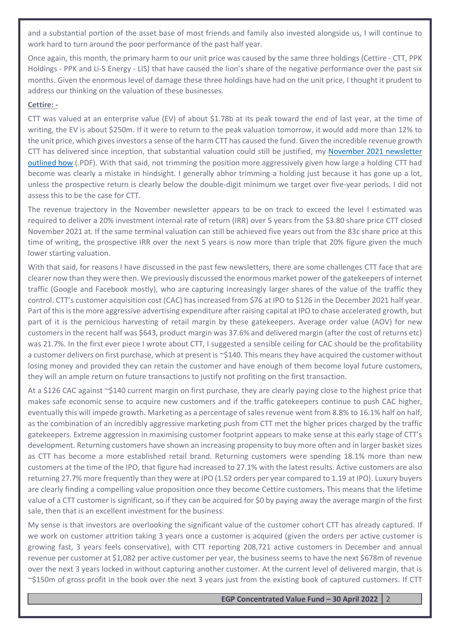and a substantial portion of the asset base of most friends and family also invested alongside us, I will continue to work hard to turn around the poor performance of the past half year.

Once again, this month, the primary harm to our unit price was caused by the same three holdings (Cettire - CTT, PPK Holdings - PPK and Li-S Energy - LIS) that have caused the lion's share of the negative performance over the past six months. Given the enormous level of damage these three holdings have had on the unit price, I thought it prudent to address our thinking on the valuation of these businesses.

# **Cettire: -**

CTT was valued at an enterprise value (EV) of about \$1.78b at its peak toward the end of last year, at the time of writing, the EV is about \$250m. If it were to return to the peak valuation tomorrow, it would add more than 12% to the unit price, which gives investors a sense of the harm CTT has caused the fund. Given the incredible revenue growth CTT has delivered since inception, that substantial valuation could still be justified, my [November 2021 newsletter](https://egpcapital.com.au/wp-content/uploads/2021/12/2021_11_1.pdf)  [outlined how](https://egpcapital.com.au/wp-content/uploads/2021/12/2021_11_1.pdf) (.PDF). With that said, not trimming the position more aggressively given how large a holding CTT had become was clearly a mistake in hindsight. I generally abhor trimming a holding just because it has gone up a lot, unless the prospective return is clearly below the double-digit minimum we target over five-year periods. I did not assess this to be the case for CTT.

The revenue trajectory in the November newsletter appears to be on track to exceed the level I estimated was required to deliver a 20% investment internal rate of return (IRR) over 5 years from the \$3.80 share price CTT closed November 2021 at. If the same terminal valuation can still be achieved five years out from the 83c share price at this time of writing, the prospective IRR over the next 5 years is now more than triple that 20% figure given the much lower starting valuation.

With that said, for reasons I have discussed in the past few newsletters, there are some challenges CTT face that are clearer now than they were then. We previously discussed the enormous market power of the gatekeepers of internet traffic (Google and Facebook mostly), who are capturing increasingly larger shares of the value of the traffic they control. CTT's customer acquisition cost (CAC) has increased from \$76 at IPO to \$126 in the December 2021 half year. Part of this is the more aggressive advertising expenditure after raising capital at IPO to chase accelerated growth, but part of it is the pernicious harvesting of retail margin by these gatekeepers. Average order value (AOV) for new customers in the recent half was \$643, product margin was 37.6% and delivered margin (after the cost of returns etc) was 21.7%. In the first ever piece I wrote about CTT, I suggested a sensible ceiling for CAC should be the profitability a customer delivers on first purchase, which at present is ~\$140. This means they have acquired the customer without losing money and provided they can retain the customer and have enough of them become loyal future customers, they will an ample return on future transactions to justify not profiting on the first transaction.

At a \$126 CAC against ~\$140 current margin on first purchase, they are clearly paying close to the highest price that makes safe economic sense to acquire new customers and if the traffic gatekeepers continue to push CAC higher, eventually this will impede growth. Marketing as a percentage of sales revenue went from 8.8% to 16.1% half on half, as the combination of an incredibly aggressive marketing push from CTT met the higher prices charged by the traffic gatekeepers. Extreme aggression in maximising customer footprint appears to make sense at this early stage of CTT's development. Returning customers have shown an increasing propensity to buy more often and in larger basket sizes as CTT has become a more established retail brand. Returning customers were spending 18.1% more than new customers at the time of the IPO, that figure had increased to 27.1% with the latest results. Active customers are also returning 27.7% more frequently than they were at IPO (1.52 orders per year compared to 1.19 at IPO). Luxury buyers are clearly finding a compelling value proposition once they become Cettire customers. This means that the lifetime value of a CTT customer is significant, so if they can be acquired for \$0 by paying away the average margin of the first sale, then that is an excellent investment for the business.

My sense is that investors are overlooking the significant value of the customer cohort CTT has already captured. If we work on customer attrition taking 3 years once a customer is acquired (given the orders per active customer is growing fast, 3 years feels conservative), with CTT reporting 208,721 active customers in December and annual revenue per customer at \$1,082 per active customer per year, the business seems to have the next \$678m of revenue over the next 3 years locked in without capturing another customer. At the current level of delivered margin, that is ~\$150m of gross profit in the book over the next 3 years just from the existing book of captured customers. If CTT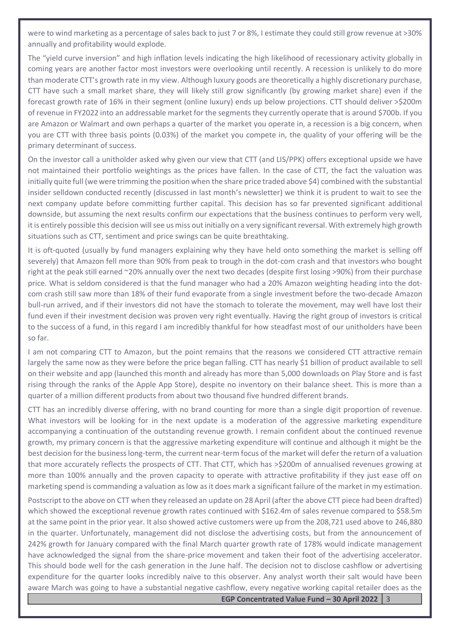were to wind marketing as a percentage of sales back to just 7 or 8%, I estimate they could still grow revenue at >30% annually and profitability would explode.

The "yield curve inversion" and high inflation levels indicating the high likelihood of recessionary activity globally in coming years are another factor most investors were overlooking until recently. A recession is unlikely to do more than moderate CTT's growth rate in my view. Although luxury goods are theoretically a highly discretionary purchase, CTT have such a small market share, they will likely still grow significantly (by growing market share) even if the forecast growth rate of 16% in their segment (online luxury) ends up below projections. CTT should deliver >\$200m of revenue in FY2022 into an addressable market for the segments they currently operate that is around \$700b. If you are Amazon or Walmart and own perhaps a quarter of the market you operate in, a recession is a big concern, when you are CTT with three basis points (0.03%) of the market you compete in, the quality of your offering will be the primary determinant of success.

On the investor call a unitholder asked why given our view that CTT (and LIS/PPK) offers exceptional upside we have not maintained their portfolio weightings as the prices have fallen. In the case of CTT, the fact the valuation was initially quite full (we were trimming the position when the share price traded above \$4) combined with the substantial insider selldown conducted recently (discussed in last month's newsletter) we think it is prudent to wait to see the next company update before committing further capital. This decision has so far prevented significant additional downside, but assuming the next results confirm our expectations that the business continues to perform very well, it is entirely possible this decision will see us miss out initially on a very significant reversal. With extremely high growth situations such as CTT, sentiment and price swings can be quite breathtaking.

It is oft-quoted (usually by fund managers explaining why they have held onto something the market is selling off severely) that Amazon fell more than 90% from peak to trough in the dot-com crash and that investors who bought right at the peak still earned ~20% annually over the next two decades (despite first losing >90%) from their purchase price. What is seldom considered is that the fund manager who had a 20% Amazon weighting heading into the dotcom crash still saw more than 18% of their fund evaporate from a single investment before the two-decade Amazon bull-run arrived, and if their investors did not have the stomach to tolerate the movement, may well have lost their fund even if their investment decision was proven very right eventually. Having the right group of investors is critical to the success of a fund, in this regard I am incredibly thankful for how steadfast most of our unitholders have been so far.

I am not comparing CTT to Amazon, but the point remains that the reasons we considered CTT attractive remain largely the same now as they were before the price began falling. CTT has nearly \$1 billion of product available to sell on their website and app (launched this month and already has more than 5,000 downloads on Play Store and is fast rising through the ranks of the Apple App Store), despite no inventory on their balance sheet. This is more than a quarter of a million different products from about two thousand five hundred different brands.

CTT has an incredibly diverse offering, with no brand counting for more than a single digit proportion of revenue. What investors will be looking for in the next update is a moderation of the aggressive marketing expenditure accompanying a continuation of the outstanding revenue growth. I remain confident about the continued revenue growth, my primary concern is that the aggressive marketing expenditure will continue and although it might be the best decision for the business long-term, the current near-term focus of the market will defer the return of a valuation that more accurately reflects the prospects of CTT. That CTT, which has >\$200m of annualised revenues growing at more than 100% annually and the proven capacity to operate with attractive profitability if they just ease off on marketing spend is commanding a valuation as low as it does mark a significant failure of the market in my estimation.

Postscript to the above on CTT when they released an update on 28 April (after the above CTT piece had been drafted) which showed the exceptional revenue growth rates continued with \$162.4m of sales revenue compared to \$58.5m at the same point in the prior year. It also showed active customers were up from the 208,721 used above to 246,880 in the quarter. Unfortunately, management did not disclose the advertising costs, but from the announcement of 242% growth for January compared with the final March quarter growth rate of 178% would indicate management have acknowledged the signal from the share-price movement and taken their foot of the advertising accelerator. This should bode well for the cash generation in the June half. The decision not to disclose cashflow or advertising expenditure for the quarter looks incredibly naïve to this observer. Any analyst worth their salt would have been aware March was going to have a substantial negative cashflow, every negative working capital retailer does as the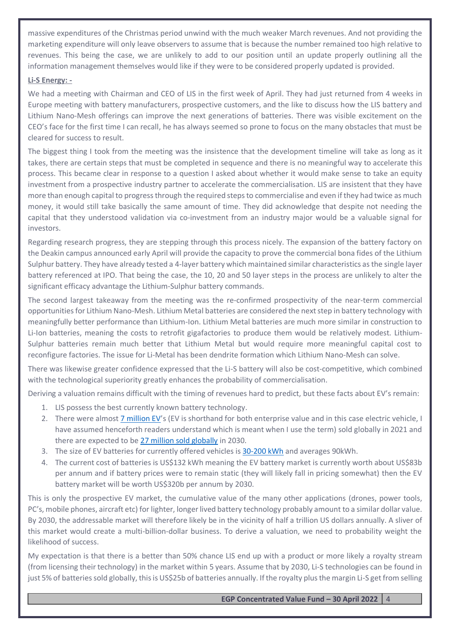massive expenditures of the Christmas period unwind with the much weaker March revenues. And not providing the marketing expenditure will only leave observers to assume that is because the number remained too high relative to revenues. This being the case, we are unlikely to add to our position until an update properly outlining all the information management themselves would like if they were to be considered properly updated is provided.

# **Li-S Energy: -**

We had a meeting with Chairman and CEO of LIS in the first week of April. They had just returned from 4 weeks in Europe meeting with battery manufacturers, prospective customers, and the like to discuss how the LIS battery and Lithium Nano-Mesh offerings can improve the next generations of batteries. There was visible excitement on the CEO's face for the first time I can recall, he has always seemed so prone to focus on the many obstacles that must be cleared for success to result.

The biggest thing I took from the meeting was the insistence that the development timeline will take as long as it takes, there are certain steps that must be completed in sequence and there is no meaningful way to accelerate this process. This became clear in response to a question I asked about whether it would make sense to take an equity investment from a prospective industry partner to accelerate the commercialisation. LIS are insistent that they have more than enough capital to progress through the required steps to commercialise and even if they had twice as much money, it would still take basically the same amount of time. They did acknowledge that despite not needing the capital that they understood validation via co-investment from an industry major would be a valuable signal for investors.

Regarding research progress, they are stepping through this process nicely. The expansion of the battery factory on the Deakin campus announced early April will provide the capacity to prove the commercial bona fides of the Lithium Sulphur battery. They have already tested a 4-layer battery which maintained similar characteristics as the single layer battery referenced at IPO. That being the case, the 10, 20 and 50 layer steps in the process are unlikely to alter the significant efficacy advantage the Lithium-Sulphur battery commands.

The second largest takeaway from the meeting was the re-confirmed prospectivity of the near-term commercial opportunities for Lithium Nano-Mesh. Lithium Metal batteries are considered the next step in battery technology with meaningfully better performance than Lithium-Ion. Lithium Metal batteries are much more similar in construction to Li-Ion batteries, meaning the costs to retrofit gigafactories to produce them would be relatively modest. Lithium-Sulphur batteries remain much better that Lithium Metal but would require more meaningful capital cost to reconfigure factories. The issue for Li-Metal has been dendrite formation which Lithium Nano-Mesh can solve.

There was likewise greater confidence expressed that the Li-S battery will also be cost-competitive, which combined with the technological superiority greatly enhances the probability of commercialisation.

Deriving a valuation remains difficult with the timing of revenues hard to predict, but these facts about EV's remain:

- 1. LIS possess the best currently known battery technology.
- 2. There were almos[t 7 million EV](https://www.carsguide.com.au/ev/advice/how-many-electric-cars-are-there-in-the-world-85961#:~:text=Global%20EV%20sales,Want%20To%20Forget%20Ever%20Happened.)'s (EV is shorthand for both enterprise value and in this case electric vehicle, I have assumed henceforth readers understand which is meant when I use the term) sold globally in 2021 and there are expected to be [27 million sold globally](https://www.spglobal.com/commodityinsights/en/market-insights/latest-news/energy-transition/021622-global-light-duty-ev-sales-to-rise-to-268-mil-by-2030-platts-analytics) in 2030.
- 3. The size of EV batteries for currently offered vehicles is [30-200 kWh](https://www.caranddriver.com/features/a36051980/evs-explained-battery-capacity-gross-versus-net/) and averages 90kWh.
- 4. The current cost of batteries is US\$132 kWh meaning the EV battery market is currently worth about US\$83b per annum and if battery prices were to remain static (they will likely fall in pricing somewhat) then the EV battery market will be worth US\$320b per annum by 2030.

This is only the prospective EV market, the cumulative value of the many other applications (drones, power tools, PC's, mobile phones, aircraft etc) for lighter, longer lived battery technology probably amount to a similar dollar value. By 2030, the addressable market will therefore likely be in the vicinity of half a trillion US dollars annually. A sliver of this market would create a multi-billion-dollar business. To derive a valuation, we need to probability weight the likelihood of success.

My expectation is that there is a better than 50% chance LIS end up with a product or more likely a royalty stream (from licensing their technology) in the market within 5 years. Assume that by 2030, Li-S technologies can be found in just 5% of batteries sold globally, this is US\$25b of batteries annually. If the royalty plus the margin Li-S get from selling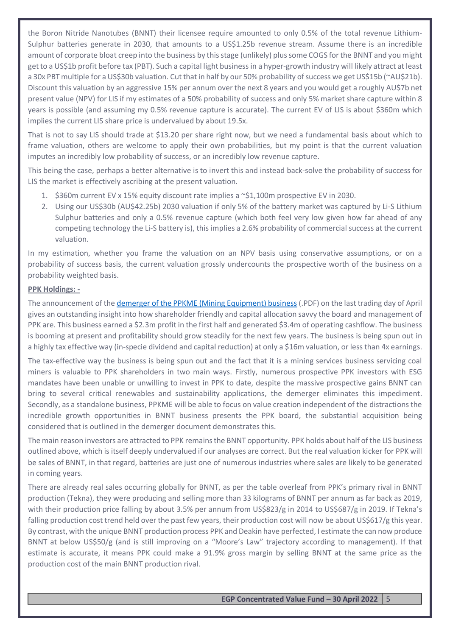the Boron Nitride Nanotubes (BNNT) their licensee require amounted to only 0.5% of the total revenue Lithium-Sulphur batteries generate in 2030, that amounts to a US\$1.25b revenue stream. Assume there is an incredible amount of corporate bloat creep into the business by this stage (unlikely) plus some COGS for the BNNT and you might get to a US\$1b profit before tax (PBT). Such a capital light business in a hyper-growth industry will likely attract at least a 30x PBT multiple for a US\$30b valuation. Cut that in half by our 50% probability of success we get US\$15b (~AU\$21b). Discount this valuation by an aggressive 15% per annum over the next 8 years and you would get a roughly AU\$7b net present value (NPV) for LIS if my estimates of a 50% probability of success and only 5% market share capture within 8 years is possible (and assuming my 0.5% revenue capture is accurate). The current EV of LIS is about \$360m which implies the current LIS share price is undervalued by about 19.5x.

That is not to say LIS should trade at \$13.20 per share right now, but we need a fundamental basis about which to frame valuation, others are welcome to apply their own probabilities, but my point is that the current valuation imputes an incredibly low probability of success, or an incredibly low revenue capture.

This being the case, perhaps a better alternative is to invert this and instead back-solve the probability of success for LIS the market is effectively ascribing at the present valuation.

- 1. \$360m current EV x 15% equity discount rate implies a ~\$1,100m prospective EV in 2030.
- 2. Using our US\$30b (AU\$42.25b) 2030 valuation if only 5% of the battery market was captured by Li-S Lithium Sulphur batteries and only a 0.5% revenue capture (which both feel very low given how far ahead of any competing technology the Li-S battery is), this implies a 2.6% probability of commercial success at the current valuation.

In my estimation, whether you frame the valuation on an NPV basis using conservative assumptions, or on a probability of success basis, the current valuation grossly undercounts the prospective worth of the business on a probability weighted basis.

# **PPK Holdings: -**

The announcement of th[e demerger of the PPKME \(Mining Equipment\) business](https://www.asx.com.au/asxpdf/20220429/pdf/458gd6x81n5jw4.pdf) (.PDF) on the last trading day of April gives an outstanding insight into how shareholder friendly and capital allocation savvy the board and management of PPK are. This business earned a \$2.3m profit in the first half and generated \$3.4m of operating cashflow. The business is booming at present and profitability should grow steadily for the next few years. The business is being spun out in a highly tax effective way (in-specie dividend and capital reduction) at only a \$16m valuation, or less than 4x earnings.

The tax-effective way the business is being spun out and the fact that it is a mining services business servicing coal miners is valuable to PPK shareholders in two main ways. Firstly, numerous prospective PPK investors with ESG mandates have been unable or unwilling to invest in PPK to date, despite the massive prospective gains BNNT can bring to several critical renewables and sustainability applications, the demerger eliminates this impediment. Secondly, as a standalone business, PPKME will be able to focus on value creation independent of the distractions the incredible growth opportunities in BNNT business presents the PPK board, the substantial acquisition being considered that is outlined in the demerger document demonstrates this.

The main reason investors are attracted to PPK remains the BNNT opportunity. PPK holds about half of the LIS business outlined above, which is itself deeply undervalued if our analyses are correct. But the real valuation kicker for PPK will be sales of BNNT, in that regard, batteries are just one of numerous industries where sales are likely to be generated in coming years.

There are already real sales occurring globally for BNNT, as per the table overleaf from PPK's primary rival in BNNT production (Tekna), they were producing and selling more than 33 kilograms of BNNT per annum as far back as 2019, with their production price falling by about 3.5% per annum from US\$823/g in 2014 to US\$687/g in 2019. If Tekna's falling production cost trend held over the past few years, their production cost will now be about US\$617/g this year. By contrast, with the unique BNNT production process PPK and Deakin have perfected, I estimate the can now produce BNNT at below US\$50/g (and is still improving on a "Moore's Law" trajectory according to management). If that estimate is accurate, it means PPK could make a 91.9% gross margin by selling BNNT at the same price as the production cost of the main BNNT production rival.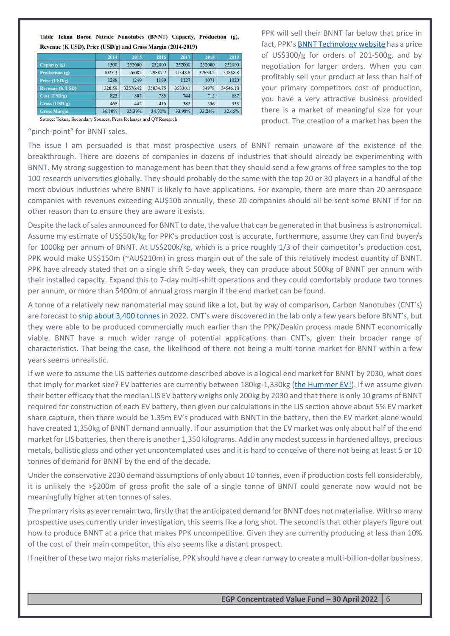|                        | 2014    | 2015     | 2016     | 2017    | 2018    | 2019     |
|------------------------|---------|----------|----------|---------|---------|----------|
| Capacity (g)           | 1500    | 252000   | 252000   | 252000  | 252000  | 252000   |
| Production (g)         | 1025.3  | 26082    | 29887.2  | 31348.8 | 32659.2 | 33868.8  |
| Price (USD/g)          | 1288    | 1249     | 1199     | 1127    | 1071    | 1020     |
| <b>Revenue (K USD)</b> | 1320.59 | 32576.42 | 35834.75 | 35330.1 | 34978   | 34546.18 |
| Cost (USD/g)           | 823     | 807      | 783      | 744     | 715     | 687      |
| Gross (USD/g)          | 465     | 442      | 416      | 383     | 356     | 333      |
| <b>Gross Margin</b>    | 36.10%  | 35.39%   | 34.70%   | 33.98%  | 33.24%  | 32.65%   |

Table Tekna Boron Nitride Nanotubes (BNNT) Capacity, Production (g), Revenue (K USD), Price (USD/g) and Gross Margin (2014-2019)

Source: Tekna; Secondary Sources, Press Releases and QYResearch

"pinch-point" for BNNT sales.

PPK will sell their BNNT far below that price in fact, PPK's [BNNT Technology website](https://www.bnnt.com.au/site/order-bnnt1) has a price of US\$300/g for orders of 201-500g, and by negotiation for larger orders. When you can profitably sell your product at less than half of your primary competitors cost of production, you have a very attractive business provided there is a market of meaningful size for your product. The creation of a market has been the

The issue I am persuaded is that most prospective users of BNNT remain unaware of the existence of the breakthrough. There are dozens of companies in dozens of industries that should already be experimenting with BNNT. My strong suggestion to management has been that they should send a few grams of free samples to the top 100 research universities globally. They should probably do the same with the top 20 or 30 players in a handful of the most obvious industries where BNNT is likely to have applications. For example, there are more than 20 aerospace companies with revenues exceeding AU\$10b annually, these 20 companies should all be sent some BNNT if for no other reason than to ensure they are aware it exists.

Despite the lack of sales announced for BNNT to date, the value that can be generated in that business is astronomical. Assume my estimate of US\$50k/kg for PPK's production cost is accurate, furthermore, assume they can find buyer/s for 1000kg per annum of BNNT. At US\$200k/kg, which is a price roughly 1/3 of their competitor's production cost, PPK would make US\$150m (~AU\$210m) in gross margin out of the sale of this relatively modest quantity of BNNT. PPK have already stated that on a single shift 5-day week, they can produce about 500kg of BNNT per annum with their installed capacity. Expand this to 7-day multi-shift operations and they could comfortably produce two tonnes per annum, or more than \$400m of annual gross margin if the end market can be found.

A tonne of a relatively new nanomaterial may sound like a lot, but by way of comparison, Carbon Nanotubes (CNT's) are forecast to [ship about 3,400 tonnes](https://www.statista.com/statistics/1279498/global-shipment-volume-carbon-nanotubes/) in 2022. CNT's were discovered in the lab only a few years before BNNT's, but they were able to be produced commercially much earlier than the PPK/Deakin process made BNNT economically viable. BNNT have a much wider range of potential applications than CNT's, given their broader range of characteristics. That being the case, the likelihood of there not being a multi-tonne market for BNNT within a few years seems unrealistic.

If we were to assume the LIS batteries outcome described above is a logical end market for BNNT by 2030, what does that imply for market size? EV batteries are currently between 180kg-1,330kg [\(the Hummer EV!\)](https://www.autoweek.com/news/a39449944/problem-with-ev-battery-weight/). If we assume given their better efficacy that the median LIS EV battery weighs only 200kg by 2030 and that there is only 10 grams of BNNT required for construction of each EV battery, then given our calculations in the LIS section above about 5% EV market share capture, then there would be 1.35m EV's produced with BNNT in the battery, then the EV market alone would have created 1,350kg of BNNT demand annually. If our assumption that the EV market was only about half of the end market for LIS batteries, then there is another 1,350 kilograms. Add in any modest success in hardened alloys, precious metals, ballistic glass and other yet uncontemplated uses and it is hard to conceive of there not being at least 5 or 10 tonnes of demand for BNNT by the end of the decade.

Under the conservative 2030 demand assumptions of only about 10 tonnes, even if production costs fell considerably, it is unlikely the >\$200m of gross profit the sale of a single tonne of BNNT could generate now would not be meaningfully higher at ten tonnes of sales.

The primary risks as ever remain two, firstly that the anticipated demand for BNNT does not materialise. With so many prospective uses currently under investigation, this seems like a long shot. The second is that other players figure out how to produce BNNT at a price that makes PPK uncompetitive. Given they are currently producing at less than 10% of the cost of their main competitor, this also seems like a distant prospect.

If neither of these two major risks materialise, PPK should have a clear runway to create a multi-billion-dollar business.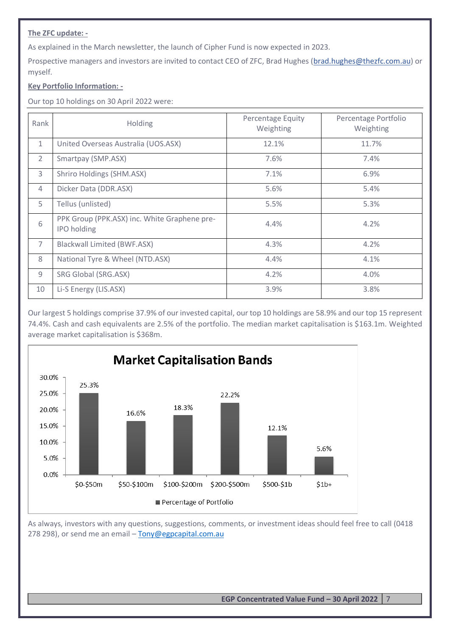# **The ZFC update: -**

As explained in the March newsletter, the launch of Cipher Fund is now expected in 2023.

Prospective managers and investors are invited to contact CEO of ZFC, Brad Hughes [\(brad.hughes@thezfc.com.au\)](mailto:brad.hughes@thezfc.com.au) or myself.

# **Key Portfolio Information: -**

Our top 10 holdings on 30 April 2022 were:

| Rank           | Holding                                                            | <b>Percentage Equity</b><br>Weighting | Percentage Portfolio<br>Weighting |
|----------------|--------------------------------------------------------------------|---------------------------------------|-----------------------------------|
| $\mathbf{1}$   | United Overseas Australia (UOS.ASX)                                | 12.1%                                 | 11.7%                             |
| $\overline{2}$ | Smartpay (SMP.ASX)                                                 | 7.6%                                  | 7.4%                              |
| 3              | Shriro Holdings (SHM.ASX)                                          | 7.1%                                  | 6.9%                              |
| $\overline{4}$ | Dicker Data (DDR.ASX)                                              | 5.6%                                  | 5.4%                              |
| 5              | Tellus (unlisted)                                                  | 5.5%                                  | 5.3%                              |
| 6              | PPK Group (PPK.ASX) inc. White Graphene pre-<br><b>IPO</b> holding | 4.4%                                  | 4.2%                              |
| $\overline{7}$ | <b>Blackwall Limited (BWF.ASX)</b>                                 | 4.3%                                  | 4.2%                              |
| 8              | National Tyre & Wheel (NTD.ASX)                                    | 4.4%                                  | 4.1%                              |
| 9              | SRG Global (SRG.ASX)                                               | 4.2%                                  | 4.0%                              |
| 10             | Li-S Energy (LIS.ASX)                                              | 3.9%                                  | 3.8%                              |

Our largest 5 holdings comprise 37.9% of our invested capital, our top 10 holdings are 58.9% and our top 15 represent 74.4%. Cash and cash equivalents are 2.5% of the portfolio. The median market capitalisation is \$163.1m. Weighted average market capitalisation is \$368m.



As always, investors with any questions, suggestions, comments, or investment ideas should feel free to call (0418 278 298), or send me an email - [Tony@egpcapital.com.au](mailto:Tony@egpcapital.com.au)